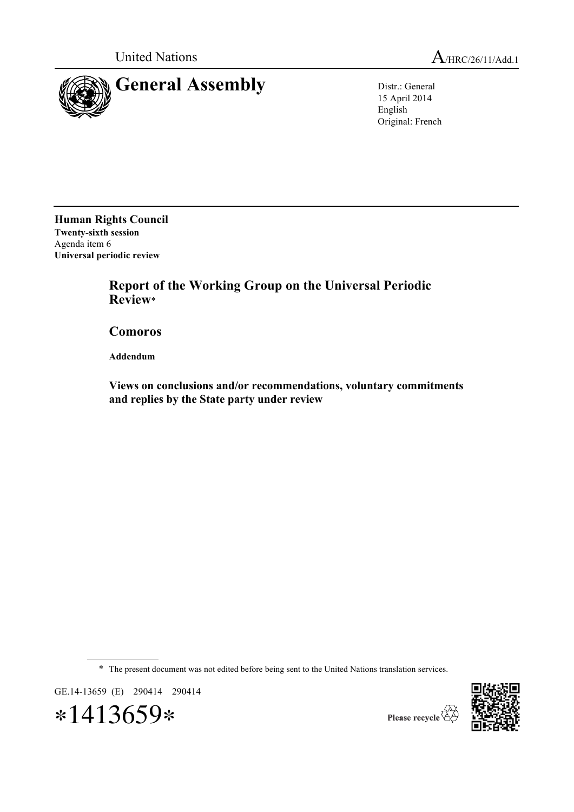



15 April 2014 English Original: French

**Human Rights Council Twenty-sixth session** Agenda item 6 **Universal periodic review**

> **Report of the Working Group on the Universal Periodic Review**\*

**Comoros**

**Addendum**

**Views on conclusions and/or recommendations, voluntary commitments and replies by the State party under review**

\* The present document was not edited before being sent to the United Nations translation services.

GE.14-13659 (E) 290414 290414

∗1413659∗



Please recycle  $\overleftrightarrow{Q}$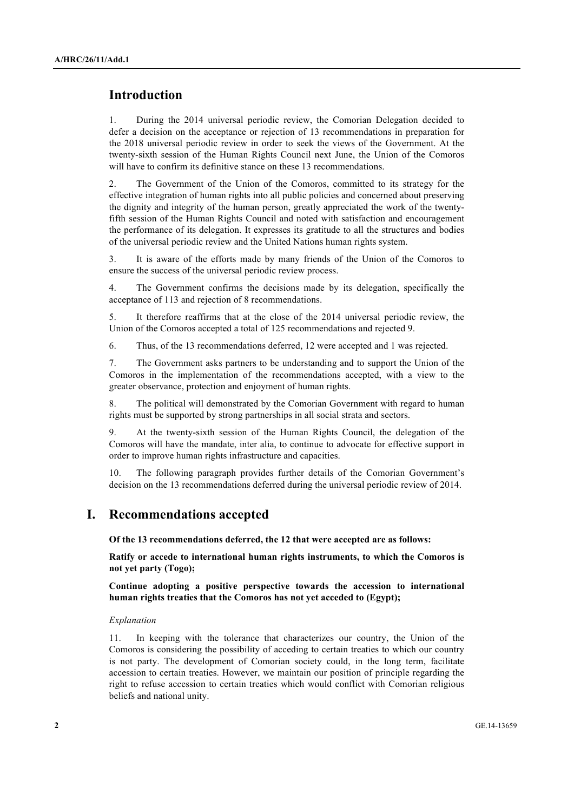# **Introduction**

1. During the 2014 universal periodic review, the Comorian Delegation decided to defer a decision on the acceptance or rejection of 13 recommendations in preparation for the 2018 universal periodic review in order to seek the views of the Government. At the twenty-sixth session of the Human Rights Council next June, the Union of the Comoros will have to confirm its definitive stance on these 13 recommendations.

2. The Government of the Union of the Comoros, committed to its strategy for the effective integration of human rights into all public policies and concerned about preserving the dignity and integrity of the human person, greatly appreciated the work of the twentyfifth session of the Human Rights Council and noted with satisfaction and encouragement the performance of its delegation. It expresses its gratitude to all the structures and bodies of the universal periodic review and the United Nations human rights system.

3. It is aware of the efforts made by many friends of the Union of the Comoros to ensure the success of the universal periodic review process.

4. The Government confirms the decisions made by its delegation, specifically the acceptance of 113 and rejection of 8 recommendations.

5. It therefore reaffirms that at the close of the 2014 universal periodic review, the Union of the Comoros accepted a total of 125 recommendations and rejected 9.

6. Thus, of the 13 recommendations deferred, 12 were accepted and 1 was rejected.

7. The Government asks partners to be understanding and to support the Union of the Comoros in the implementation of the recommendations accepted, with a view to the greater observance, protection and enjoyment of human rights.

8. The political will demonstrated by the Comorian Government with regard to human rights must be supported by strong partnerships in all social strata and sectors.

9. At the twenty-sixth session of the Human Rights Council, the delegation of the Comoros will have the mandate, inter alia, to continue to advocate for effective support in order to improve human rights infrastructure and capacities.

10. The following paragraph provides further details of the Comorian Government's decision on the 13 recommendations deferred during the universal periodic review of 2014.

## **I. Recommendations accepted**

**Of the 13 recommendations deferred, the 12 that were accepted are as follows:**

**Ratify or accede to international human rights instruments, to which the Comoros is not yet party (Togo);**

**Continue adopting a positive perspective towards the accession to international human rights treaties that the Comoros has not yet acceded to (Egypt);**

### *Explanation*

11. In keeping with the tolerance that characterizes our country, the Union of the Comoros is considering the possibility of acceding to certain treaties to which our country is not party. The development of Comorian society could, in the long term, facilitate accession to certain treaties. However, we maintain our position of principle regarding the right to refuse accession to certain treaties which would conflict with Comorian religious beliefs and national unity.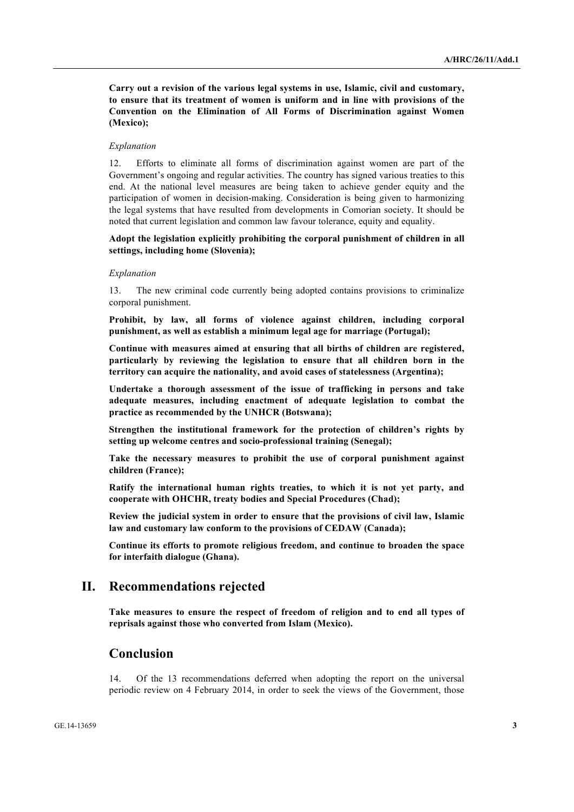**Carry out a revision of the various legal systems in use, Islamic, civil and customary, to ensure that its treatment of women is uniform and in line with provisions of the Convention on the Elimination of All Forms of Discrimination against Women (Mexico);**

### *Explanation*

12. Efforts to eliminate all forms of discrimination against women are part of the Government's ongoing and regular activities. The country has signed various treaties to this end. At the national level measures are being taken to achieve gender equity and the participation of women in decision-making. Consideration is being given to harmonizing the legal systems that have resulted from developments in Comorian society. It should be noted that current legislation and common law favour tolerance, equity and equality.

### **Adopt the legislation explicitly prohibiting the corporal punishment of children in all settings, including home (Slovenia);**

#### *Explanation*

13. The new criminal code currently being adopted contains provisions to criminalize corporal punishment.

**Prohibit, by law, all forms of violence against children, including corporal punishment, as well as establish a minimum legal age for marriage (Portugal);**

**Continue with measures aimed at ensuring that all births of children are registered, particularly by reviewing the legislation to ensure that all children born in the territory can acquire the nationality, and avoid cases of statelessness (Argentina);**

**Undertake a thorough assessment of the issue of trafficking in persons and take adequate measures, including enactment of adequate legislation to combat the practice as recommended by the UNHCR (Botswana);**

**Strengthen the institutional framework for the protection of children's rights by setting up welcome centres and socio-professional training (Senegal);**

**Take the necessary measures to prohibit the use of corporal punishment against children (France);**

**Ratify the international human rights treaties, to which it is not yet party, and cooperate with OHCHR, treaty bodies and Special Procedures (Chad);**

**Review the judicial system in order to ensure that the provisions of civil law, Islamic law and customary law conform to the provisions of CEDAW (Canada);**

**Continue its efforts to promote religious freedom, and continue to broaden the space for interfaith dialogue (Ghana).**

## **II. Recommendations rejected**

**Take measures to ensure the respect of freedom of religion and to end all types of reprisals against those who converted from Islam (Mexico).**

## **Conclusion**

14. Of the 13 recommendations deferred when adopting the report on the universal periodic review on 4 February 2014, in order to seek the views of the Government, those